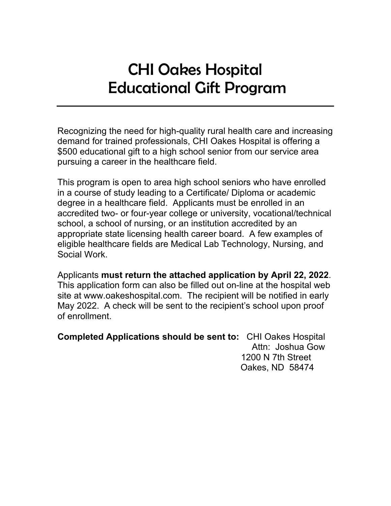## CHI Oakes Hospital Educational Gift Program

Recognizing the need for high-quality rural health care and increasing demand for trained professionals, CHI Oakes Hospital is offering a \$500 educational gift to a high school senior from our service area pursuing a career in the healthcare field.

This program is open to area high school seniors who have enrolled in a course of study leading to a Certificate/ Diploma or academic degree in a healthcare field. Applicants must be enrolled in an accredited two- or four-year college or university, vocational/technical school, a school of nursing, or an institution accredited by an appropriate state licensing health career board. A few examples of eligible healthcare fields are Medical Lab Technology, Nursing, and Social Work.

Applicants **must return the attached application by April 22, 2022**. This application form can also be filled out on-line at the hospital web site at www.oakeshospital.com. The recipient will be notified in early May 2022. A check will be sent to the recipient's school upon proof of enrollment.

**Completed Applications should be sent to:** CHI Oakes Hospital Attn: Joshua Gow 1200 N 7th Street Oakes, ND 58474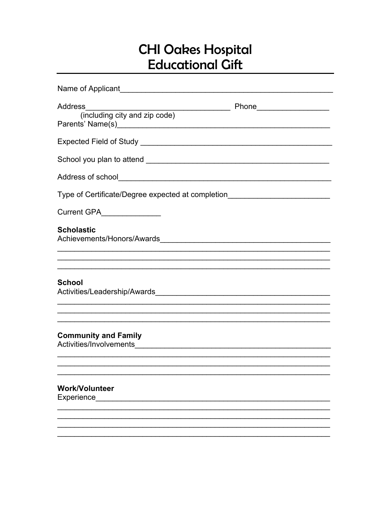## **CHI Oakes Hospital Educational Gift**

| Address<br>(including city and zip code)                                                                                              | Phone_____________________ |
|---------------------------------------------------------------------------------------------------------------------------------------|----------------------------|
|                                                                                                                                       |                            |
|                                                                                                                                       |                            |
|                                                                                                                                       |                            |
| Type of Certificate/Degree expected at completion_______________________________                                                      |                            |
| Current GPA_______________                                                                                                            |                            |
| <b>Scholastic</b>                                                                                                                     |                            |
| <u> 1999 - 1999 - 1999 - 1999 - 1999 - 1999 - 1999 - 1999 - 1999 - 1999 - 1999 - 1999 - 1999 - 1999 - 1999 - 199</u><br><b>School</b> |                            |
| <b>Community and Family</b><br>Activities/Involvements.                                                                               |                            |
| <b>Work/Volunteer</b><br>Experience_                                                                                                  |                            |